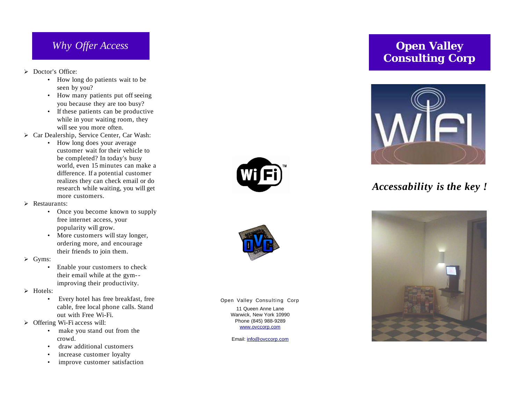### *Why Offer Access*

- > Doctor's Office:
	- How long do patients wait to be seen by you?
	- How many patients put off seeing you because they are too busy?
	- If these patients can be productive while in your waiting room, they will see you more often.
- > Car Dealership, Service Center, Car Wash:
	- How long does your average customer wait for their vehicle to be completed? In today's busy world, even 15 minutes can make a difference. If a potential customer realizes they can check email or do research while waiting, you will get more customers.
- > Restaurants:
	- Once you become known to supply free internet access, your popularity will grow.
	- More customers will stay longer, ordering more, and encourage their friends to join them.
- ➢ G y m s :
	- Enable your customers to check their email while at the gym-improving their productivity.
- > Hotels:
	- Every hotel has free breakfast, free cable, free local phone calls. Stand out with Free Wi-Fi.
- > Offering Wi-Fi access will:
	- make you stand out from the c r o w d .
	- draw additional customers
	- increase customer loyalty
	- improve customer satisfaction





Open Valley Consulting Corp

11 Queen Anne Lane Warwick, New York 10990 Phone (845) 988-9289 www.ovccorp.com

Email: info@ovccorp.com

## **Open Valley Consulting Corp**



# *A c c e s s a b i l i ty i s t h e k ey !*